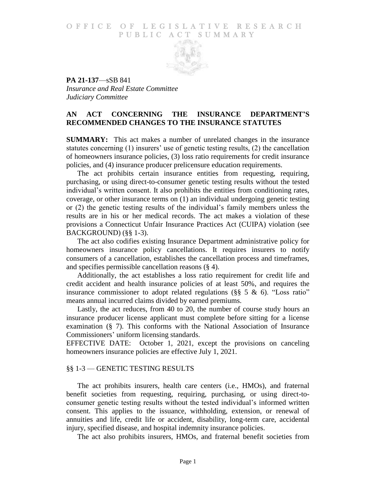# O F FICE OF LEGISLATIVE RESEARCH PUBLIC ACT SUMMARY



**PA 21-137**—sSB 841 *Insurance and Real Estate Committee Judiciary Committee*

# **AN ACT CONCERNING THE INSURANCE DEPARTMENT'S RECOMMENDED CHANGES TO THE INSURANCE STATUTES**

**SUMMARY:** This act makes a number of unrelated changes in the insurance statutes concerning (1) insurers' use of genetic testing results, (2) the cancellation of homeowners insurance policies, (3) loss ratio requirements for credit insurance policies, and (4) insurance producer prelicensure education requirements.

The act prohibits certain insurance entities from requesting, requiring, purchasing, or using direct-to-consumer genetic testing results without the tested individual's written consent. It also prohibits the entities from conditioning rates, coverage, or other insurance terms on (1) an individual undergoing genetic testing or (2) the genetic testing results of the individual's family members unless the results are in his or her medical records. The act makes a violation of these provisions a Connecticut Unfair Insurance Practices Act (CUIPA) violation (see BACKGROUND) (§§ 1-3).

The act also codifies existing Insurance Department administrative policy for homeowners insurance policy cancellations. It requires insurers to notify consumers of a cancellation, establishes the cancellation process and timeframes, and specifies permissible cancellation reasons (§ 4).

Additionally, the act establishes a loss ratio requirement for credit life and credit accident and health insurance policies of at least 50%, and requires the insurance commissioner to adopt related regulations ( $\S$ § 5 & 6). "Loss ratio" means annual incurred claims divided by earned premiums.

Lastly, the act reduces, from 40 to 20, the number of course study hours an insurance producer license applicant must complete before sitting for a license examination (§ 7). This conforms with the National Association of Insurance Commissioners' uniform licensing standards.

EFFECTIVE DATE: October 1, 2021, except the provisions on canceling homeowners insurance policies are effective July 1, 2021.

# §§ 1-3 — GENETIC TESTING RESULTS

The act prohibits insurers, health care centers (i.e., HMOs), and fraternal benefit societies from requesting, requiring, purchasing, or using direct-toconsumer genetic testing results without the tested individual's informed written consent. This applies to the issuance, withholding, extension, or renewal of annuities and life, credit life or accident, disability, long-term care, accidental injury, specified disease, and hospital indemnity insurance policies.

The act also prohibits insurers, HMOs, and fraternal benefit societies from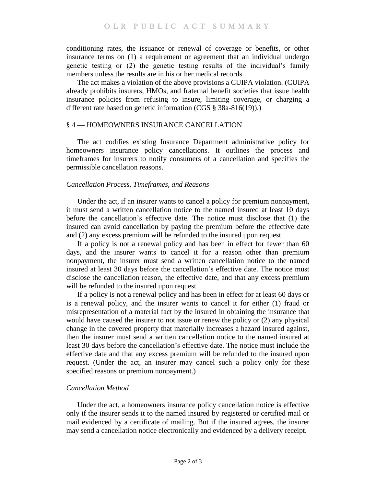conditioning rates, the issuance or renewal of coverage or benefits, or other insurance terms on (1) a requirement or agreement that an individual undergo genetic testing or (2) the genetic testing results of the individual's family members unless the results are in his or her medical records.

The act makes a violation of the above provisions a CUIPA violation. (CUIPA already prohibits insurers, HMOs, and fraternal benefit societies that issue health insurance policies from refusing to insure, limiting coverage, or charging a different rate based on genetic information (CGS § 38a-816(19)).)

### § 4 — HOMEOWNERS INSURANCE CANCELLATION

The act codifies existing Insurance Department administrative policy for homeowners insurance policy cancellations. It outlines the process and timeframes for insurers to notify consumers of a cancellation and specifies the permissible cancellation reasons.

#### *Cancellation Process, Timeframes, and Reasons*

Under the act, if an insurer wants to cancel a policy for premium nonpayment, it must send a written cancellation notice to the named insured at least 10 days before the cancellation's effective date. The notice must disclose that (1) the insured can avoid cancellation by paying the premium before the effective date and (2) any excess premium will be refunded to the insured upon request.

If a policy is not a renewal policy and has been in effect for fewer than 60 days, and the insurer wants to cancel it for a reason other than premium nonpayment, the insurer must send a written cancellation notice to the named insured at least 30 days before the cancellation's effective date. The notice must disclose the cancellation reason, the effective date, and that any excess premium will be refunded to the insured upon request.

If a policy is not a renewal policy and has been in effect for at least 60 days or is a renewal policy, and the insurer wants to cancel it for either (1) fraud or misrepresentation of a material fact by the insured in obtaining the insurance that would have caused the insurer to not issue or renew the policy or (2) any physical change in the covered property that materially increases a hazard insured against, then the insurer must send a written cancellation notice to the named insured at least 30 days before the cancellation's effective date. The notice must include the effective date and that any excess premium will be refunded to the insured upon request. (Under the act, an insurer may cancel such a policy only for these specified reasons or premium nonpayment.)

# *Cancellation Method*

Under the act, a homeowners insurance policy cancellation notice is effective only if the insurer sends it to the named insured by registered or certified mail or mail evidenced by a certificate of mailing. But if the insured agrees, the insurer may send a cancellation notice electronically and evidenced by a delivery receipt.